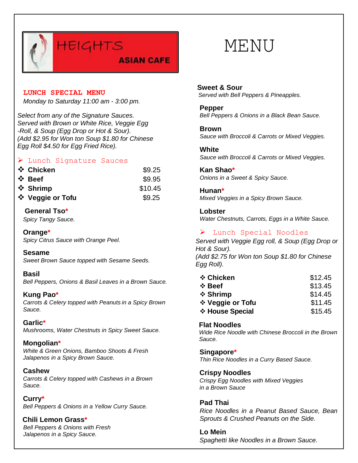

#### **LUNCH SPECIAL MENU**

*Monday to Saturday 11:00 am - 3:00 pm.*

*Select from any of the Signature Sauces. Served with Brown or White Rice, Veggie Egg -Roll, & Soup (Egg Drop or Hot & Sour). (Add \$2.95 for Won ton Soup \$1.80 for Chinese Egg Roll \$4.50 for Egg Fried Rice).*

# Lunch Signature Sauces

| ❖ Chicken        | \$9.25  |
|------------------|---------|
| ❖ Beef           | \$9.95  |
| ❖ Shrimp         | \$10.45 |
| ❖ Veggie or Tofu | \$9.25  |

# **General Tso\***

*Spicy Tangy Sauce.*

**Orange\*** *Spicy Citrus Sauce with Orange Peel.*

#### **Sesame**

*Sweet Brown Sauce topped with Sesame Seeds.*

#### **Basil**

*Bell Peppers, Onions & Basil Leaves in a Brown Sauce.*

#### **Kung Pao\***

*Carrots & Celery topped with Peanuts in a Spicy Brown Sauce.*

#### **Garlic\***

*Mushrooms, Water Chestnuts in Spicy Sweet Sauce.*

#### **Mongolian\***

*White & Green Onions, Bamboo Shoots & Fresh Jalapenos in a Spicy Brown Sauce.*

#### **Cashew**

*Carrots & Celery topped with Cashews in a Brown Sauce.*

#### **Curry\*** *Bell Peppers & Onions in a Yellow Curry Sauce.*

# **Chili Lemon Grass\***

*Bell Peppers & Onions with Fresh Jalapenos in a Spicy Sauce.*

**Sweet & Sour**  *Served with Bell Peppers & Pineapples.*

#### **Pepper** *Bell Peppers & Onions in a Black Bean Sauce.*

**Brown**

*Sauce with Broccoli & Carrots or Mixed Veggies.*

**White** *Sauce with Broccoli & Carrots or Mixed Veggies.*

**Kan Shao\*** *Onions in a Sweet & Spicy Sauce.*

**Hunan\*** *Mixed Veggies in a Spicy Brown Sauce.*

**Lobster** *Water Chestnuts, Carrots, Eggs in a White Sauce.*

> Lunch Special Noodles

*Served with Veggie Egg roll, & Soup (Egg Drop or Hot & Sour). (Add \$2.75 for Won ton Soup \$1.80 for Chinese Egg Roll).*

| ❖ Chicken        | \$12.45 |
|------------------|---------|
| $\div$ Beef      | \$13.45 |
| ❖ Shrimp         | \$14.45 |
| ❖ Veggie or Tofu | \$11.45 |
| ❖ House Special  | \$15.45 |

# **Flat Noodles**

*Wide Rice Noodle with Chinese Broccoli in the Brown Sauce.*

#### **Singapore\***

*Thin Rice Noodles in a Curry Based Sauce.*

**Crispy Noodles**

*Crispy Egg Noodles with Mixed Veggies in a Brown Sauce*

**Pad Thai** *Rice Noodles in a Peanut Based Sauce, Bean Sprouts & Crushed Peanuts on the Side.*

**Lo Mein** *Spaghetti like Noodles in a Brown Sauce.*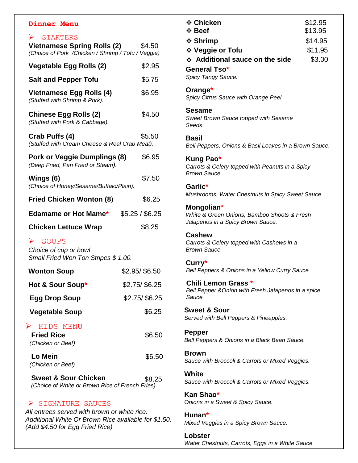### **Dinner Menu**

# $\triangleright$  STARTERS

| O TUILLINO<br><b>Vietnamese Spring Rolls (2)</b><br>(Choice of Pork / Chicken / Shrimp / Tofu / Veggie) | \$4.50          |
|---------------------------------------------------------------------------------------------------------|-----------------|
| Vegetable Egg Rolls (2)                                                                                 | \$2.95          |
| <b>Salt and Pepper Tofu</b>                                                                             | \$5.75          |
| <b>Vietnamese Egg Rolls (4)</b><br>(Stuffed with Shrimp & Pork).                                        | \$6.95          |
| <b>Chinese Egg Rolls (2)</b><br>(Stuffed with Pork & Cabbage).                                          | \$4.50          |
| Crab Puffs (4)<br>(Stuffed with Cream Cheese & Real Crab Meat).                                         | \$5.50          |
| Pork or Veggie Dumplings (8)<br>(Deep Fried, Pan Fried or Steam).                                       | \$6.95          |
| Wings (6)<br>(Choice of Honey/Sesame/Buffalo/Plain).                                                    | \$7.50          |
| <b>Fried Chicken Wonton (8)</b>                                                                         | \$6.25          |
| <b>Edamame or Hot Mame*</b>                                                                             | \$5.25 / \$6.25 |
| <b>Chicken Lettuce Wrap</b>                                                                             | \$8.25          |
| $\triangleright$ SOUPS<br>Choice of cup or bowl<br>Small Fried Won Ton Stripes \$ 1.00.                 |                 |
| <b>Wonton Soup</b>                                                                                      | \$2.95/\$6.50   |
| Hot & Sour Soup*                                                                                        | $$2.75/$ \$6.25 |
| <b>Egg Drop Soup</b>                                                                                    | \$2.75/ \$6.25  |
| <b>Vegetable Soup</b>                                                                                   | \$6.25          |
| KIDS MENU<br>➤<br><b>Fried Rice</b><br>(Chicken or Beef)                                                | \$6.50          |
| Lo Mein<br>(Chicken or Beef)                                                                            | \$6.50          |
| <b>Sweet &amp; Sour Chicken</b><br>(Choice of White or Brown Rice of French Fries)                      | \$8.25          |
| SIGNATURE SAUCES                                                                                        |                 |

 *All entrees served with brown or white rice. Additional White Or Brown Rice available for \$1.50. (Add \$4.50 for Egg Fried Rice)*

| ❖ Chicken<br>❖ Beef                                                                            | \$12.95<br>\$13.95 |
|------------------------------------------------------------------------------------------------|--------------------|
| ❖ Shrimp                                                                                       | \$14.95            |
| ❖ Veggie or Tofu                                                                               | \$11.95            |
| ❖ Additional sauce on the side                                                                 | \$3.00             |
| <b>General Tso*</b><br>Spicy Tangy Sauce.                                                      |                    |
| Orange*<br>Spicy Citrus Sauce with Orange Peel.                                                |                    |
| Sesame<br>Sweet Brown Sauce topped with Sesame<br>Seeds.                                       |                    |
| Basil<br>Bell Peppers, Onions & Basil Leaves in a Brown Sauce.                                 |                    |
| Kung Pao*<br>Carrots & Celery topped with Peanuts in a Spicy<br><b>Brown Sauce.</b>            |                    |
| Garlic*<br>Mushrooms, Water Chestnuts in Spicy Sweet Sauce.                                    |                    |
| Mongolian*<br>White & Green Onions, Bamboo Shoots & Fresh<br>Jalapenos in a Spicy Brown Sauce. |                    |
| <b>Cashew</b><br>Carrots & Celery topped with Cashews in a<br>Brown Sauce.                     |                    |
| Curry*<br>Bell Peppers & Onions in a Yellow Curry Sauce                                        |                    |
| <b>Chili Lemon Grass</b><br>Bell Pepper & Onion with Fresh Jalapenos in a spice<br>Sauce.      |                    |
| <b>Sweet &amp; Sour</b><br>Served with Bell Peppers & Pineapples.                              |                    |
| <b>Pepper</b><br>Bell Peppers & Onions in a Black Bean Sauce.                                  |                    |
| <b>Brown</b><br>Sauce with Broccoli & Carrots or Mixed Veggies.                                |                    |
| <b>White</b><br>Sauce with Broccoli & Carrots or Mixed Veggies.                                |                    |
| Kan Shao*<br>Onions in a Sweet & Spicy Sauce.                                                  |                    |
| Hunan*<br>Mixed Veggies in a Spicy Brown Sauce.                                                |                    |
| Lobster                                                                                        |                    |

*Water Chestnuts, Carrots, Eggs in a White Sauce*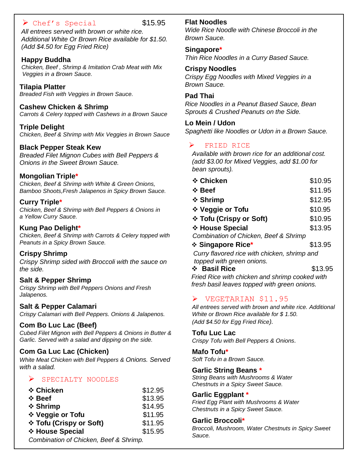# $\triangleright$  Chef's Special \$15.95

*All entrees served with brown or white rice. Additional White Or Brown Rice available for \$1.50. (Add \$4.50 for Egg Fried Rice)*

# **Happy Buddha**

*Chicken, Beef , Shrimp & Imitation Crab Meat with Mix Veggies in a Brown Sauce.*

#### **Tilapia Platter**

*Breaded Fish with Veggies in Brown Sauce.*

# **Cashew Chicken & Shrimp**

*Carrots & Celery topped with Cashews in a Brown Sauce*

**Triple Delight** *Chicken, Beef & Shrimp with Mix Veggies in Brown Sauce*

# **Black Pepper Steak Kew**

*Breaded Filet Mignon Cubes with Bell Peppers & Onions in the Sweet Brown Sauce.*

# **Mongolian Triple\***

*Chicken, Beef & Shrimp with White & Green Onions, Bamboo Shoots,Fresh Jalapenos in Spicy Brown Sauce.*

#### **Curry Triple\***

*Chicken, Beef & Shrimp with Bell Peppers & Onions in a Yellow Curry Sauce.*

# **Kung Pao Delight\***

*Chicken, Beef & Shrimp with Carrots & Celery topped with Peanuts in a Spicy Brown Sauce.*

#### **Crispy Shrimp**

*Crispy Shrimp sided with Broccoli with the sauce on the side.*

#### **Salt & Pepper Shrimp**

*Crispy Shrimp with Bell Peppers Onions and Fresh Jalapenos.*

#### **Salt & Pepper Calamari**

*Crispy Calamari with Bell Peppers. Onions & Jalapenos.*

#### **Com Bo Luc Lac (Beef)**

*Cubed Filet Mignon with Bell Peppers & Onions in Butter & Garlic. Served with a salad and dipping on the side.*

#### **Com Ga Luc Lac (Chicken)**

*White Meat Chicken with Bell Peppers & Onions. Served with a salad.*

# SPECIALTY NOODLES

| ❖ Chicken                              | \$12.95 |
|----------------------------------------|---------|
| $\div$ Beef                            | \$13.95 |
| ❖ Shrimp                               | \$14.95 |
| ❖ Veggie or Tofu                       | \$11.95 |
| ❖ Tofu (Crispy or Soft)                | \$11.95 |
| ❖ House Special                        | \$15.95 |
| Combination of Chicken, Beef & Shrimp. |         |

### **Flat Noodles**

*Wide Rice Noodle with Chinese Broccoli in the Brown Sauce.*

#### **Singapore\***

*Thin Rice Noodles in a Curry Based Sauce.*

#### **Crispy Noodles**

*Crispy Egg Noodles with Mixed Veggies in a Brown Sauce.*

#### **Pad Thai**

*Rice Noodles in a Peanut Based Sauce, Bean Sprouts & Crushed Peanuts on the Side.*

#### **Lo Mein / Udon**

*Spaghetti like Noodles or Udon in a Brown Sauce.*

# FRIED RICE

*Available with brown rice for an additional cost. (add \$3.00 for Mixed Veggies, add \$1.00 for bean sprouts).*

| ❖ Chicken                                    | \$10.95 |
|----------------------------------------------|---------|
| $\div$ Beef                                  | \$11.95 |
| ❖ Shrimp                                     | \$12.95 |
| ❖ Veggie or Tofu                             | \$10.95 |
| ❖ Tofu (Crispy or Soft)                      | \$10.95 |
| ❖ House Special                              | \$13.95 |
| Combination of Chicken, Beef & Shrimp        |         |
| ❖ Singapore Rice*                            | \$13.95 |
| Curry flavored rice with chicken, shrimp and |         |
|                                              |         |

#### *topped with green onions.* **↓ Basil Rice**  \$13.95

*Fried Rice with chicken and shrimp cooked with fresh basil leaves topped with green onions.*

# VEGETARIAN \$11.95

*All entrees served with brown and white rice. Additional White or Brown Rice available for \$ 1.50. (Add \$4.50 for Egg Fried Rice).*

#### **Tofu Luc Lac**

*Crispy Tofu with Bell Peppers & Onions.*

#### **Mafo Tofu\***

*Soft Tofu in a Brown Sauce.*

#### **Garlic String Beans \***

*String Beans with Mushrooms & Water Chestnuts in a Spicy Sweet Sauce.*

#### **Garlic Eggplant \***

*Fried Egg Plant with Mushrooms & Water Chestnuts in a Spicy Sweet Sauce.*

#### **Garlic Broccoli\***

*Broccoli, Mushroom, Water Chestnuts in Spicy Sweet Sauce.*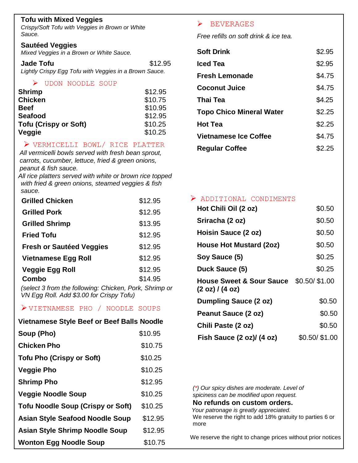# **Tofu with Mixed Veggies**

*Crispy/Soft Tofu with Veggies in Brown or White Sauce.*

### **Sautéed Veggies**

*Mixed Veggies in a Brown or White Sauce.*

**Jade Tofu 12.95** *Lightly Crispy Egg Tofu with Veggies in a Brown Sauce.*

#### UDON NOODLE SOUP

| <b>Shrimp</b>                | \$12.95 |
|------------------------------|---------|
| <b>Chicken</b>               | \$10.75 |
| <b>Beef</b>                  | \$10.95 |
| <b>Seafood</b>               | \$12.95 |
| <b>Tofu (Crispy or Soft)</b> | \$10.25 |
| Veggie                       | \$10.25 |

# VERMICELLI BOWL/ RICE PLATTER

*All vermicelli bowls served with fresh bean sprout, carrots, cucumber, lettuce, fried & green onions, peanut & fish sauce.*

*All rice platters served with white or brown rice topped with fried & green onions, steamed veggies & fish sauce.*

| <b>Grilled Chicken</b>          | \$12.95 |
|---------------------------------|---------|
| <b>Grilled Pork</b>             | \$12.95 |
| <b>Grilled Shrimp</b>           | \$13.95 |
| <b>Fried Tofu</b>               | \$12.95 |
| <b>Fresh or Sautéed Veggies</b> | \$12.95 |
| <b>Vietnamese Egg Roll</b>      | \$12.95 |
| <b>Veggie Egg Roll</b>          | \$12.95 |
| Combo                           | \$14.95 |

*(select 3 from the following: Chicken, Pork, Shrimp or VN Egg Roll. Add \$3.00 for Crispy Tofu)*

# VIETNAMESE PHO / NOODLE SOUPS

| <b>Vietnamese Style Beef or Beef Balls Noodle</b> |         |
|---------------------------------------------------|---------|
| Soup (Pho)                                        | \$10.95 |
| <b>Chicken Pho</b>                                | \$10.75 |
| <b>Tofu Pho (Crispy or Soft)</b>                  | \$10.25 |
| <b>Veggie Pho</b>                                 | \$10.25 |
| <b>Shrimp Pho</b>                                 | \$12.95 |
| <b>Veggie Noodle Soup</b>                         | \$10.25 |
| <b>Tofu Noodle Soup (Crispy or Soft)</b>          | \$10.25 |
| <b>Asian Style Seafood Noodle Soup</b>            | \$12.95 |
| <b>Asian Style Shrimp Noodle Soup</b>             | \$12.95 |
| <b>Wonton Egg Noodle Soup</b>                     | \$10.75 |

# $\triangleright$  BEVERAGES

*Free refills on soft drink & ice tea.*

| <b>Soft Drink</b>               | \$2.95 |
|---------------------------------|--------|
| Iced Tea                        | \$2.95 |
| <b>Fresh Lemonade</b>           | \$4.75 |
| <b>Coconut Juice</b>            | \$4.75 |
| <b>Thai Tea</b>                 | \$4.25 |
| <b>Topo Chico Mineral Water</b> | \$2.25 |
| <b>Hot Tea</b>                  | \$2.25 |
| <b>Vietnamese Ice Coffee</b>    | \$4.75 |
| <b>Regular Coffee</b>           | \$2.25 |

### ADDITIONAL CONDIMENTS

| Hot Chili Oil (2 oz)                                   | \$0.50           |
|--------------------------------------------------------|------------------|
| Sriracha (2 oz)                                        | \$0.50           |
| Hoisin Sauce (2 oz)                                    | \$0.50           |
| House Hot Mustard (2oz)                                | \$0.50           |
| Soy Sauce (5)                                          | \$0.25           |
| Duck Sauce (5)                                         | \$0.25           |
| <b>House Sweet &amp; Sour Sauce</b><br>(2 oz) / (4 oz) | $$0.50/$ $$1.00$ |
| <b>Dumpling Sauce (2 oz)</b>                           | \$0.50           |
| Peanut Sauce (2 oz)                                    | \$0.50           |
| Chili Paste (2 oz)                                     | \$0.50           |
| Fish Sauce (2 oz)/ (4 oz)                              | $$0.50/$ $$1.00$ |

*(\*) Our spicy dishes are moderate. Level of spiciness can be modified upon request.* **No refunds on custom orders.** *Your patronage is greatly appreciated.* We reserve the right to add 18% gratuity to parties 6 or more

We reserve the right to change prices without prior notices